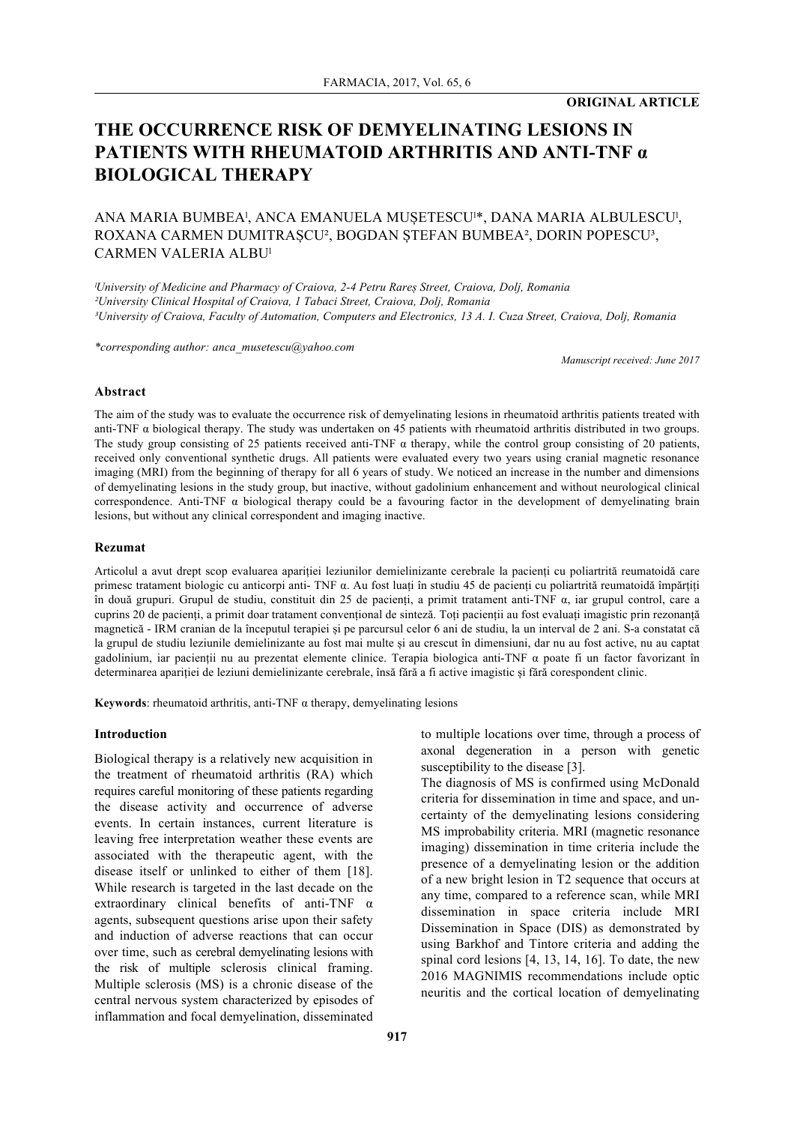# **ORIGINAL ARTICLE**

# **THE OCCURRENCE RISK OF DEMYELINATING LESIONS IN PATIENTS WITH RHEUMATOID ARTHRITIS AND ANTI-TNF α BIOLOGICAL THERAPY**

# ANA MARIA BUMBEAˡ, ANCA EMANUELA MUȘETESCUˡ\*, DANA MARIA ALBULESCUˡ, ROXANA CARMEN DUMITRAȘCU<sup>2</sup>, BOGDAN ȘTEFAN BUMBEA<sup>2</sup>, DORIN POPESCU<sup>3</sup>, CARMEN VALERIA ALBU<sup>ı</sup>

*ˡUniversity of Medicine and Pharmacy of Craiova, 2-4 Petru Rareș Street, Craiova, Dolj, Romania ²University Clinical Hospital of Craiova, 1 Tabaci Street, Craiova, Dolj, Romania ³University of Craiova, Faculty of Automation, Computers and Electronics, 13 A. I. Cuza Street, Craiova, Dolj, Romania*

*\*corresponding author: anca\_musetescu@yahoo.com*

*Manuscript received: June 2017*

#### **Abstract**

The aim of the study was to evaluate the occurrence risk of demyelinating lesions in rheumatoid arthritis patients treated with anti-TNF  $\alpha$  biological therapy. The study was undertaken on 45 patients with rheumatoid arthritis distributed in two groups. The study group consisting of 25 patients received anti-TNF  $\alpha$  therapy, while the control group consisting of 20 patients, received only conventional synthetic drugs. All patients were evaluated every two years using cranial magnetic resonance imaging (MRI) from the beginning of therapy for all 6 years of study. We noticed an increase in the number and dimensions of demyelinating lesions in the study group, but inactive, without gadolinium enhancement and without neurological clinical correspondence. Anti-TNF  $\alpha$  biological therapy could be a favouring factor in the development of demyelinating brain lesions, but without any clinical correspondent and imaging inactive.

# **Rezumat**

Articolul a avut drept scop evaluarea apariției leziunilor demielinizante cerebrale la pacienți cu poliartrită reumatoidă care primesc tratament biologic cu anticorpi anti- TNF α. Au fost luați în studiu 45 de pacienți cu poliartrită reumatoidă împărțiți în două grupuri. Grupul de studiu, constituit din 25 de pacienți, a primit tratament anti-TNF α, iar grupul control, care a cuprins 20 de pacienți, a primit doar tratament convențional de sinteză. Toți pacienții au fost evaluați imagistic prin rezonanță magnetică - IRM cranian de la începutul terapiei și pe parcursul celor 6 ani de studiu, la un interval de 2 ani. S-a constatat că la grupul de studiu leziunile demielinizante au fost mai multe și au crescut în dimensiuni, dar nu au fost active, nu au captat gadolinium, iar pacienții nu au prezentat elemente clinice. Terapia biologica anti-TNF α poate fi un factor favorizant în determinarea apariției de leziuni demielinizante cerebrale, însă fără a fi active imagistic și fără corespondent clinic.

**Keywords**: rheumatoid arthritis, anti-TNF  $\alpha$  therapy, demyelinating lesions

#### **Introduction**

Biological therapy is a relatively new acquisition in the treatment of rheumatoid arthritis (RA) which requires careful monitoring of these patients regarding the disease activity and occurrence of adverse events. In certain instances, current literature is leaving free interpretation weather these events are associated with the therapeutic agent, with the disease itself or unlinked to either of them [18]. While research is targeted in the last decade on the extraordinary clinical benefits of anti-TNF α agents, subsequent questions arise upon their safety and induction of adverse reactions that can occur over time, such as cerebral demyelinating lesions with the risk of multiple sclerosis clinical framing. Multiple sclerosis (MS) is a chronic disease of the central nervous system characterized by episodes of inflammation and focal demyelination, disseminated to multiple locations over time, through a process of axonal degeneration in a person with genetic susceptibility to the disease [3].

The diagnosis of MS is confirmed using McDonald criteria for dissemination in time and space, and uncertainty of the demyelinating lesions considering MS improbability criteria. MRI (magnetic resonance imaging) dissemination in time criteria include the presence of a demyelinating lesion or the addition of a new bright lesion in T2 sequence that occurs at any time, compared to a reference scan, while MRI dissemination in space criteria include MRI Dissemination in Space (DIS) as demonstrated by using Barkhof and Tintore criteria and adding the spinal cord lesions [4, 13, 14, 16]. To date, the new 2016 MAGNIMIS recommendations include optic neuritis and the cortical location of demyelinating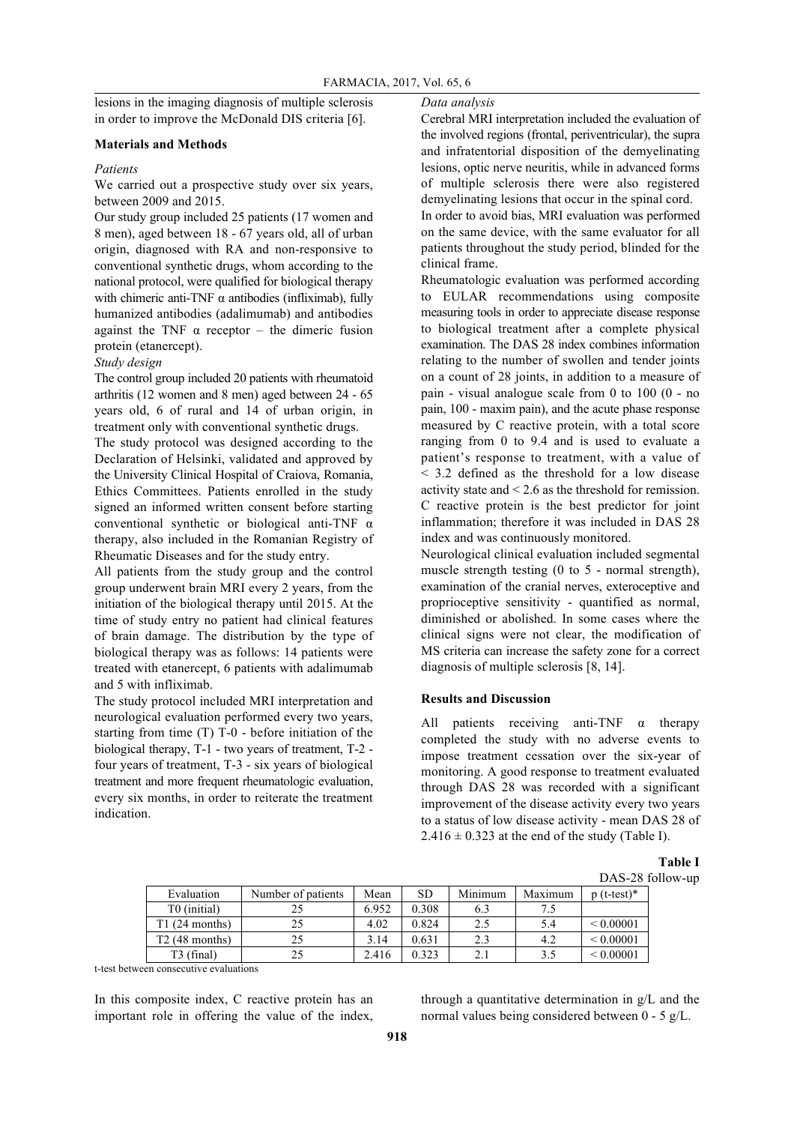lesions in the imaging diagnosis of multiple sclerosis in order to improve the McDonald DIS criteria [6].

## **Materials and Methods**

### *Patients*

We carried out a prospective study over six years, between 2009 and 2015.

Our study group included 25 patients (17 women and 8 men), aged between 18 - 67 years old, all of urban origin, diagnosed with RA and non-responsive to conventional synthetic drugs, whom according to the national protocol, were qualified for biological therapy with chimeric anti-TNF  $\alpha$  antibodies (infliximab), fully humanized antibodies (adalimumab) and antibodies against the TNF  $\alpha$  receptor – the dimeric fusion protein (etanercept).

*Study design*

The control group included 20 patients with rheumatoid arthritis (12 women and 8 men) aged between 24 - 65 years old, 6 of rural and 14 of urban origin, in treatment only with conventional synthetic drugs.

The study protocol was designed according to the Declaration of Helsinki, validated and approved by the University Clinical Hospital of Craiova, Romania, Ethics Committees. Patients enrolled in the study signed an informed written consent before starting conventional synthetic or biological anti-TNF α therapy, also included in the Romanian Registry of Rheumatic Diseases and for the study entry.

All patients from the study group and the control group underwent brain MRI every 2 years, from the initiation of the biological therapy until 2015. At the time of study entry no patient had clinical features of brain damage. The distribution by the type of biological therapy was as follows: 14 patients were treated with etanercept, 6 patients with adalimumab and 5 with infliximab.

The study protocol included MRI interpretation and neurological evaluation performed every two years, starting from time (T) T-0 - before initiation of the biological therapy, T-1 - two years of treatment, T-2 four years of treatment, T-3 - six years of biological treatment and more frequent rheumatologic evaluation, every six months, in order to reiterate the treatment indication.

### *Data analysis*

Cerebral MRI interpretation included the evaluation of the involved regions (frontal, periventricular), the supra and infratentorial disposition of the demyelinating lesions, optic nerve neuritis, while in advanced forms of multiple sclerosis there were also registered demyelinating lesions that occur in the spinal cord. In order to avoid bias, MRI evaluation was performed on the same device, with the same evaluator for all patients throughout the study period, blinded for the

clinical frame. Rheumatologic evaluation was performed according to EULAR recommendations using composite measuring tools in order to appreciate disease response to biological treatment after a complete physical examination. The DAS 28 index combines information relating to the number of swollen and tender joints on a count of 28 joints, in addition to a measure of pain - visual analogue scale from 0 to 100 (0 - no pain, 100 - maxim pain), and the acute phase response measured by C reactive protein, with a total score ranging from 0 to 9.4 and is used to evaluate a patient's response to treatment, with a value of < 3.2 defined as the threshold for a low disease activity state and < 2.6 as the threshold for remission. C reactive protein is the best predictor for joint inflammation; therefore it was included in DAS 28 index and was continuously monitored.

Neurological clinical evaluation included segmental muscle strength testing (0 to 5 - normal strength), examination of the cranial nerves, exteroceptive and proprioceptive sensitivity - quantified as normal, diminished or abolished. In some cases where the clinical signs were not clear, the modification of MS criteria can increase the safety zone for a correct diagnosis of multiple sclerosis [8, 14].

## **Results and Discussion**

All patients receiving anti-TNF α therapy completed the study with no adverse events to impose treatment cessation over the six-year of monitoring. A good response to treatment evaluated through DAS 28 was recorded with a significant improvement of the disease activity every two years to a status of low disease activity - mean DAS 28 of  $2.416 \pm 0.323$  at the end of the study (Table I).

**Table I** DAS-28 follow-up

|                        |                    |       |       |         |         | $1110 - 201$   |
|------------------------|--------------------|-------|-------|---------|---------|----------------|
| Evaluation             | Number of patients | Mean  | SD    | Minimum | Maximum | $(t-test)*$    |
| T0 (initial)           |                    | 6.952 | 0.308 | 6.3     |         |                |
| T1(24 months)          |                    | 4.02  | 0.824 | 2.5     | 5.4     | ${}< 0.00001$  |
| $T2(48$ months)        |                    | 3.14  | 0.631 | 2.3     | 4.2     | ${}_{0.00001}$ |
| T <sub>3</sub> (final) |                    | 2.416 | 0.323 | 2.1     | 3.5     | ${}< 0.00001$  |

t-test between consecutive evaluations

In this composite index, C reactive protein has an important role in offering the value of the index, through a quantitative determination in g/L and the normal values being considered between 0 - 5 g/L.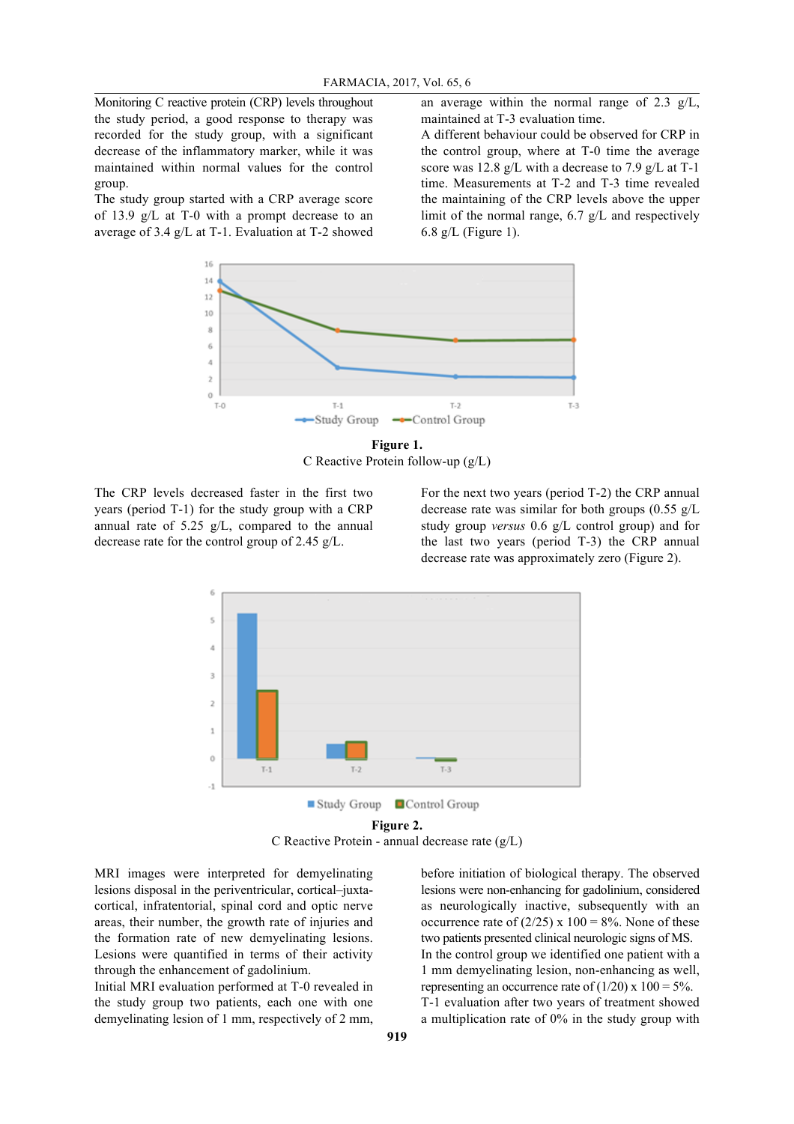Monitoring C reactive protein (CRP) levels throughout the study period, a good response to therapy was recorded for the study group, with a significant decrease of the inflammatory marker, while it was maintained within normal values for the control group.

The study group started with a CRP average score of 13.9 g/L at T-0 with a prompt decrease to an average of 3.4 g/L at T-1. Evaluation at T-2 showed an average within the normal range of 2.3 g/L, maintained at T-3 evaluation time.

A different behaviour could be observed for CRP in the control group, where at T-0 time the average score was 12.8 g/L with a decrease to 7.9 g/L at T-1 time. Measurements at T-2 and T-3 time revealed the maintaining of the CRP levels above the upper limit of the normal range, 6.7 g/L and respectively 6.8  $g/L$  (Figure 1).



**Figure 1.** C Reactive Protein follow-up (g/L)

The CRP levels decreased faster in the first two years (period T-1) for the study group with a CRP annual rate of 5.25 g/L, compared to the annual decrease rate for the control group of 2.45 g/L.

For the next two years (period T-2) the CRP annual decrease rate was similar for both groups  $(0.55 \text{ g/L})$ study group *versus* 0.6 g/L control group) and for the last two years (period T-3) the CRP annual decrease rate was approximately zero (Figure 2).



**Figure 2.** C Reactive Protein - annual decrease rate (g/L)

MRI images were interpreted for demyelinating lesions disposal in the periventricular, cortical–juxtacortical, infratentorial, spinal cord and optic nerve areas, their number, the growth rate of injuries and the formation rate of new demyelinating lesions. Lesions were quantified in terms of their activity through the enhancement of gadolinium.

Initial MRI evaluation performed at T-0 revealed in the study group two patients, each one with one demyelinating lesion of 1 mm, respectively of 2 mm,

before initiation of biological therapy. The observed lesions were non-enhancing for gadolinium, considered as neurologically inactive, subsequently with an occurrence rate of  $(2/25)$  x 100 = 8%. None of these two patients presented clinical neurologic signs of MS. In the control group we identified one patient with a 1 mm demyelinating lesion, non-enhancing as well, representing an occurrence rate of  $(1/20)$  x  $100 = 5\%$ . T-1 evaluation after two years of treatment showed a multiplication rate of 0% in the study group with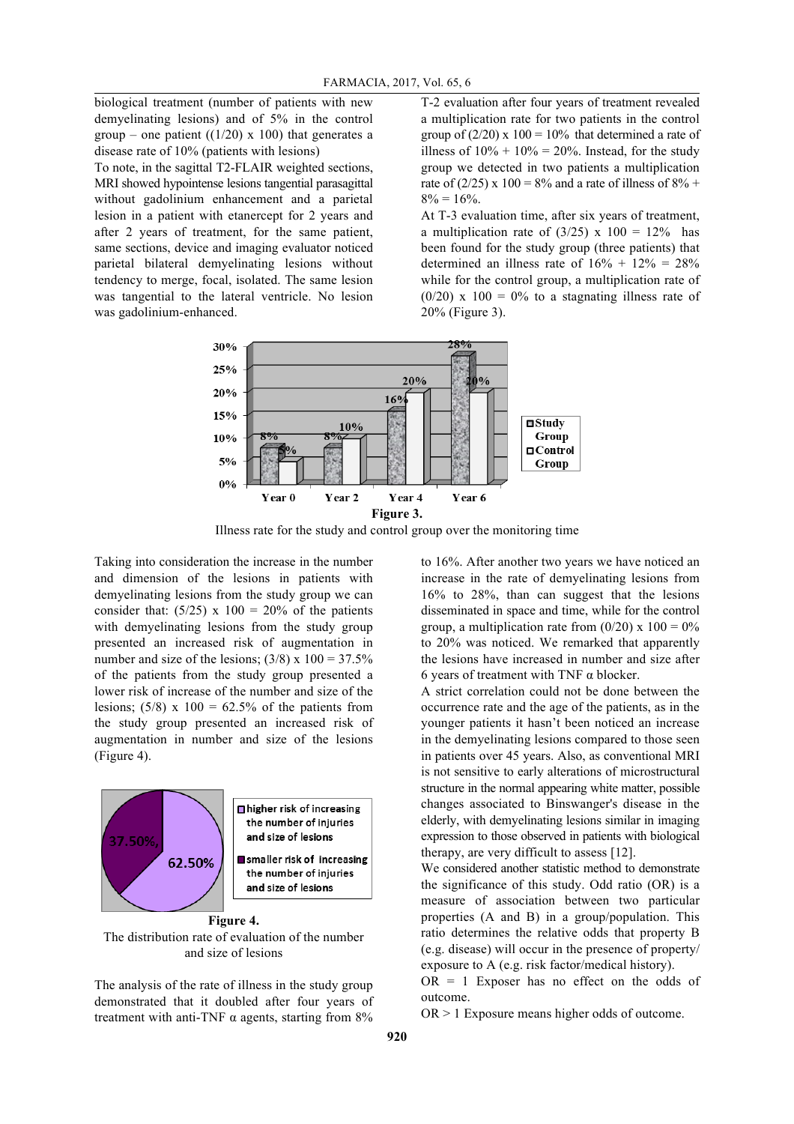biological treatment (number of patients with new demyelinating lesions) and of 5% in the control group – one patient  $((1/20) \times 100)$  that generates a disease rate of 10% (patients with lesions)

To note, in the sagittal T2-FLAIR weighted sections, MRI showed hypointense lesions tangential parasagittal without gadolinium enhancement and a parietal lesion in a patient with etanercept for 2 years and after 2 years of treatment, for the same patient, same sections, device and imaging evaluator noticed parietal bilateral demyelinating lesions without tendency to merge, focal, isolated. The same lesion was tangential to the lateral ventricle. No lesion was gadolinium-enhanced.

T-2 evaluation after four years of treatment revealed a multiplication rate for two patients in the control group of  $(2/20)$  x  $100 = 10\%$  that determined a rate of illness of  $10\% + 10\% = 20\%$ . Instead, for the study group we detected in two patients a multiplication rate of (2/25) x 100 = 8% and a rate of illness of 8% +  $8\% = 16\%$ .

At T-3 evaluation time, after six years of treatment, a multiplication rate of  $(3/25)$  x  $100 = 12\%$  has been found for the study group (three patients) that determined an illness rate of  $16\% + 12\% = 28\%$ while for the control group, a multiplication rate of  $(0/20)$  x 100 = 0% to a stagnating illness rate of 20% (Figure 3).



Illness rate for the study and control group over the monitoring time

Taking into consideration the increase in the number and dimension of the lesions in patients with demyelinating lesions from the study group we can consider that:  $(5/25)$  x 100 = 20% of the patients with demyelinating lesions from the study group presented an increased risk of augmentation in number and size of the lesions;  $(3/8)$  x  $100 = 37.5\%$ of the patients from the study group presented a lower risk of increase of the number and size of the lesions;  $(5/8)$  x  $100 = 62.5%$  of the patients from the study group presented an increased risk of augmentation in number and size of the lesions (Figure 4).



The distribution rate of evaluation of the number and size of lesions

The analysis of the rate of illness in the study group demonstrated that it doubled after four years of treatment with anti-TNF  $\alpha$  agents, starting from 8%

to 16%. After another two years we have noticed an increase in the rate of demyelinating lesions from 16% to 28%, than can suggest that the lesions disseminated in space and time, while for the control group, a multiplication rate from  $(0/20)$  x  $100 = 0\%$ to 20% was noticed. We remarked that apparently the lesions have increased in number and size after 6 years of treatment with TNF  $\alpha$  blocker.

A strict correlation could not be done between the occurrence rate and the age of the patients, as in the younger patients it hasn't been noticed an increase in the demyelinating lesions compared to those seen in patients over 45 years. Also, as conventional MRI is not sensitive to early alterations of microstructural structure in the normal appearing white matter, possible changes associated to Binswanger's disease in the elderly, with demyelinating lesions similar in imaging expression to those observed in patients with biological therapy, are very difficult to assess [12].

We considered another statistic method to demonstrate the significance of this study. Odd ratio (OR) is a measure of association between two particular properties (A and B) in a group/population. This ratio determines the relative odds that property B (e.g. disease) will occur in the presence of property/ exposure to A (e.g. risk factor/medical history).

 $OR = 1$  Exposer has no effect on the odds of outcome.

OR > 1 Exposure means higher odds of outcome.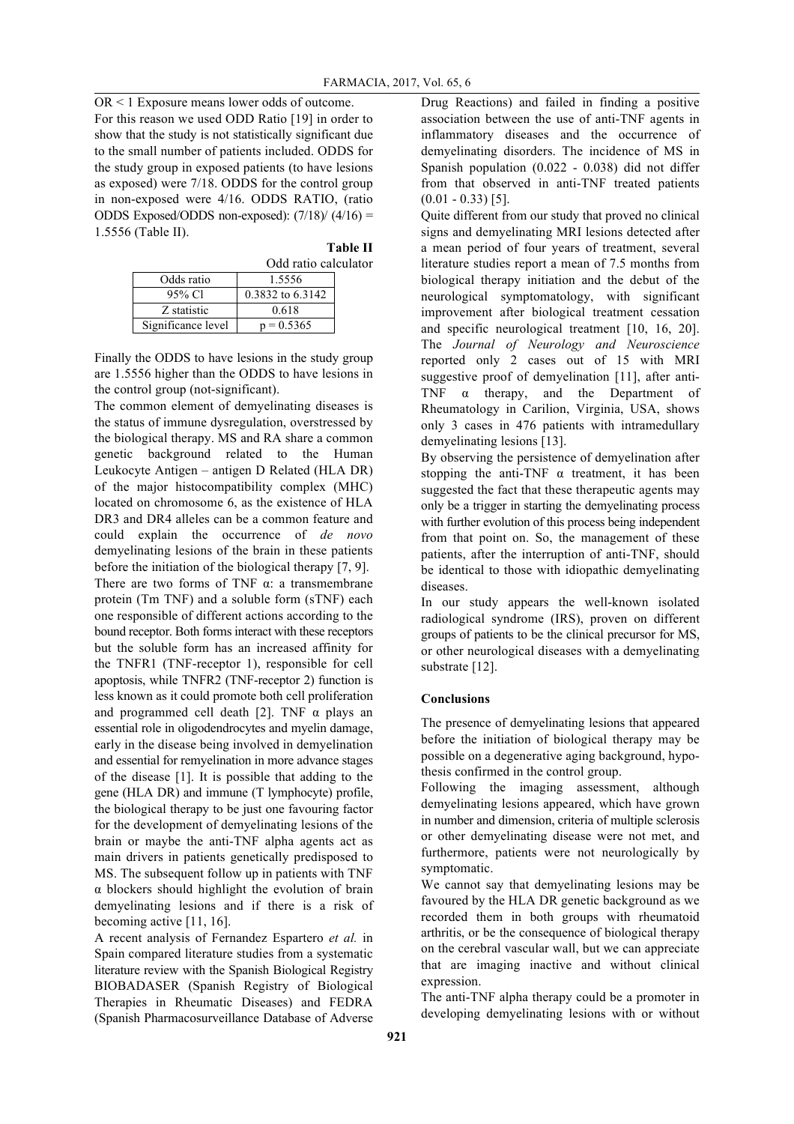OR < 1 Exposure means lower odds of outcome. For this reason we used ODD Ratio [19] in order to show that the study is not statistically significant due to the small number of patients included. ODDS for the study group in exposed patients (to have lesions as exposed) were 7/18. ODDS for the control group in non-exposed were 4/16. ODDS RATIO, (ratio ODDS Exposed/ODDS non-exposed):  $(7/18)$   $(4/16)$  = 1.5556 (Table II).

**Table II**

|                    | Odd ratio calculator |  |  |  |  |
|--------------------|----------------------|--|--|--|--|
| Odds ratio         | 1.5556               |  |  |  |  |
| 95% Cl             | 0.3832 to 6.3142     |  |  |  |  |
| Z statistic        | 0.618                |  |  |  |  |
| Significance level | $p = 0.5365$         |  |  |  |  |

Finally the ODDS to have lesions in the study group are 1.5556 higher than the ODDS to have lesions in the control group (not-significant).

The common element of demyelinating diseases is the status of immune dysregulation, overstressed by the biological therapy. MS and RA share a common genetic background related to the Human Leukocyte Antigen – antigen D Related (HLA DR) of the major histocompatibility complex (MHC) located on chromosome 6, as the existence of HLA DR3 and DR4 alleles can be a common feature and could explain the occurrence of *de novo* demyelinating lesions of the brain in these patients before the initiation of the biological therapy [7, 9]. There are two forms of TNF  $\alpha$ : a transmembrane protein (Tm TNF) and a soluble form (sTNF) each one responsible of different actions according to the bound receptor. Both forms interact with these receptors but the soluble form has an increased affinity for the TNFR1 (TNF-receptor 1), responsible for cell apoptosis, while TNFR2 (TNF-receptor 2) function is less known as it could promote both cell proliferation and programmed cell death [2]. TNF  $\alpha$  plays an essential role in oligodendrocytes and myelin damage, early in the disease being involved in demyelination and essential for remyelination in more advance stages of the disease [1]. It is possible that adding to the gene (HLA DR) and immune (T lymphocyte) profile, the biological therapy to be just one favouring factor for the development of demyelinating lesions of the brain or maybe the anti-TNF alpha agents act as main drivers in patients genetically predisposed to MS. The subsequent follow up in patients with TNF α blockers should highlight the evolution of brain demyelinating lesions and if there is a risk of becoming active [11, 16].

A recent analysis of Fernandez Espartero *et al.* in Spain compared literature studies from a systematic literature review with the Spanish Biological Registry BIOBADASER (Spanish Registry of Biological Therapies in Rheumatic Diseases) and FEDRA (Spanish Pharmacosurveillance Database of Adverse Drug Reactions) and failed in finding a positive association between the use of anti-TNF agents in inflammatory diseases and the occurrence of demyelinating disorders. The incidence of MS in Spanish population (0.022 - 0.038) did not differ from that observed in anti-TNF treated patients  $(0.01 - 0.33)$  [5].

Quite different from our study that proved no clinical signs and demyelinating MRI lesions detected after a mean period of four years of treatment, several literature studies report a mean of 7.5 months from biological therapy initiation and the debut of the neurological symptomatology, with significant improvement after biological treatment cessation and specific neurological treatment [10, 16, 20]. The *Journal of Neurology and Neuroscience* reported only 2 cases out of 15 with MRI suggestive proof of demyelination [11], after anti-TNF α therapy, and the Department of Rheumatology in Carilion, Virginia, USA, shows only 3 cases in 476 patients with intramedullary demyelinating lesions [13].

By observing the persistence of demyelination after stopping the anti-TNF  $\alpha$  treatment, it has been suggested the fact that these therapeutic agents may only be a trigger in starting the demyelinating process with further evolution of this process being independent from that point on. So, the management of these patients, after the interruption of anti-TNF, should be identical to those with idiopathic demyelinating diseases.

In our study appears the well-known isolated radiological syndrome (IRS), proven on different groups of patients to be the clinical precursor for MS, or other neurological diseases with a demyelinating substrate [12].

# **Conclusions**

The presence of demyelinating lesions that appeared before the initiation of biological therapy may be possible on a degenerative aging background, hypothesis confirmed in the control group.

Following the imaging assessment, although demyelinating lesions appeared, which have grown in number and dimension, criteria of multiple sclerosis or other demyelinating disease were not met, and furthermore, patients were not neurologically by symptomatic.

We cannot say that demyelinating lesions may be favoured by the HLA DR genetic background as we recorded them in both groups with rheumatoid arthritis, or be the consequence of biological therapy on the cerebral vascular wall, but we can appreciate that are imaging inactive and without clinical expression.

The anti-TNF alpha therapy could be a promoter in developing demyelinating lesions with or without